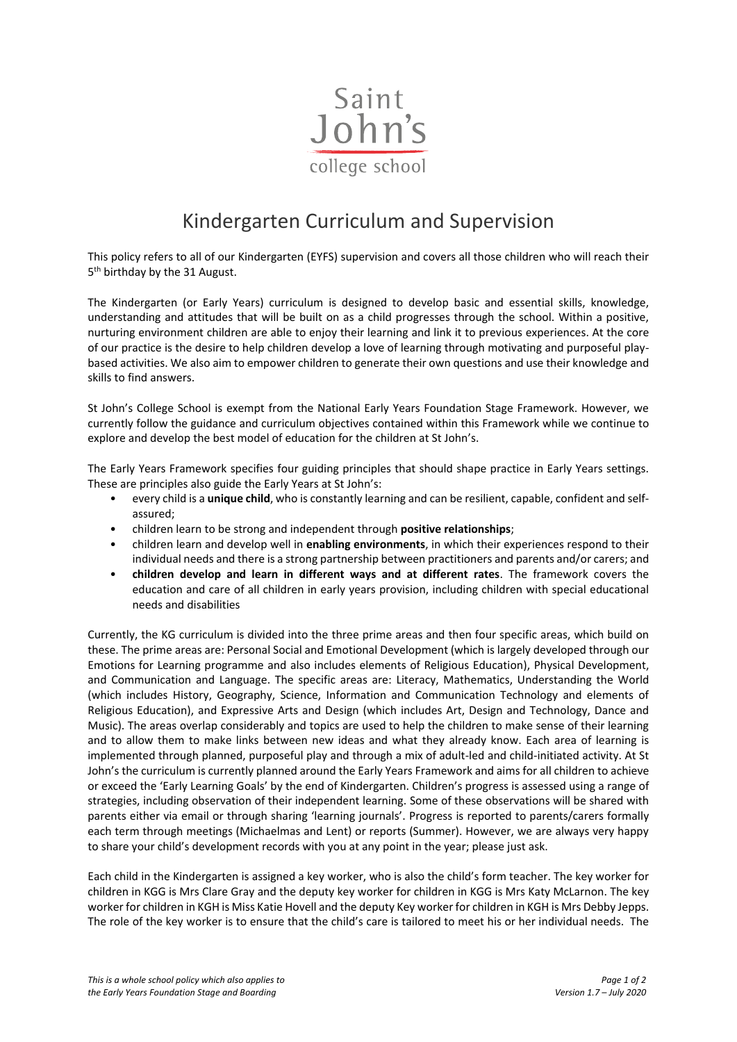

## Kindergarten Curriculum and Supervision

This policy refers to all of our Kindergarten (EYFS) supervision and covers all those children who will reach their 5<sup>th</sup> birthday by the 31 August.

The Kindergarten (or Early Years) curriculum is designed to develop basic and essential skills, knowledge, understanding and attitudes that will be built on as a child progresses through the school. Within a positive, nurturing environment children are able to enjoy their learning and link it to previous experiences. At the core of our practice is the desire to help children develop a love of learning through motivating and purposeful playbased activities. We also aim to empower children to generate their own questions and use their knowledge and skills to find answers.

St John's College School is exempt from the National Early Years Foundation Stage Framework. However, we currently follow the guidance and curriculum objectives contained within this Framework while we continue to explore and develop the best model of education for the children at St John's.

The Early Years Framework specifies four guiding principles that should shape practice in Early Years settings. These are principles also guide the Early Years at St John's:

- every child is a **unique child**, who is constantly learning and can be resilient, capable, confident and selfassured;
- children learn to be strong and independent through **positive relationships**;
- children learn and develop well in **enabling environments**, in which their experiences respond to their individual needs and there is a strong partnership between practitioners and parents and/or carers; and
- **children develop and learn in different ways and at different rates**. The framework covers the education and care of all children in early years provision, including children with special educational needs and disabilities

Currently, the KG curriculum is divided into the three prime areas and then four specific areas, which build on these. The prime areas are: Personal Social and Emotional Development (which is largely developed through our Emotions for Learning programme and also includes elements of Religious Education), Physical Development, and Communication and Language. The specific areas are: Literacy, Mathematics, Understanding the World (which includes History, Geography, Science, Information and Communication Technology and elements of Religious Education), and Expressive Arts and Design (which includes Art, Design and Technology, Dance and Music). The areas overlap considerably and topics are used to help the children to make sense of their learning and to allow them to make links between new ideas and what they already know. Each area of learning is implemented through planned, purposeful play and through a mix of adult-led and child-initiated activity. At St John's the curriculum is currently planned around the Early Years Framework and aims for all children to achieve or exceed the 'Early Learning Goals' by the end of Kindergarten. Children's progress is assessed using a range of strategies, including observation of their independent learning. Some of these observations will be shared with parents either via email or through sharing 'learning journals'. Progress is reported to parents/carers formally each term through meetings (Michaelmas and Lent) or reports (Summer). However, we are always very happy to share your child's development records with you at any point in the year; please just ask.

Each child in the Kindergarten is assigned a key worker, who is also the child's form teacher. The key worker for children in KGG is Mrs Clare Gray and the deputy key worker for children in KGG is Mrs Katy McLarnon. The key worker for children in KGH is Miss Katie Hovell and the deputy Key worker for children in KGH is Mrs Debby Jepps. The role of the key worker is to ensure that the child's care is tailored to meet his or her individual needs. The